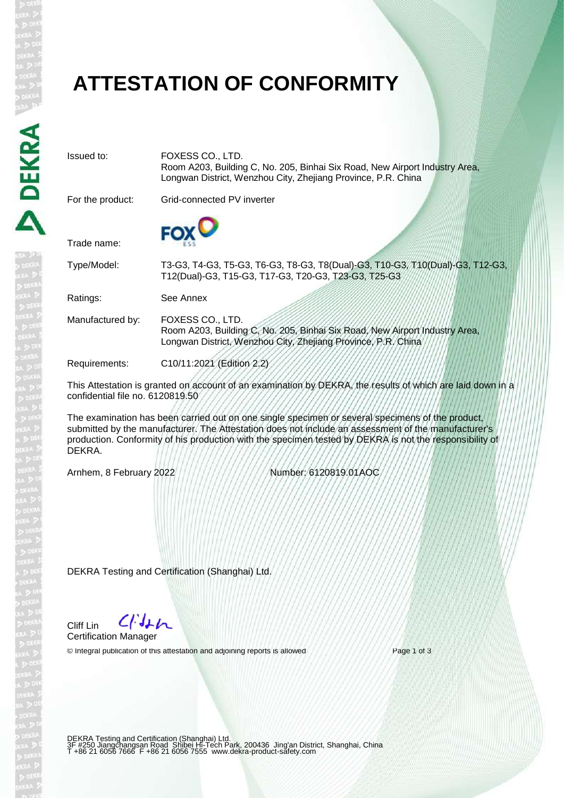# **ATTESTATION OF CONFORMITY**

Issued to: FOXESS CO., LTD. Room A203, Building C, No. 205, Binhai Six Road, New Airport Industry Area, Longwan District, Wenzhou City, Zhejiang Province, P.R. China For the product: Grid-connected PV inverter Trade name: Type/Model: T3-G3, T4-G3, T5-G3, T6-G3, T8-G3, T8(Dual)-G3, T10-G3, T10(Dual)-G3, T12-G3, T12(Dual)-G3, T15-G3, T17-G3, T20-G3, T23-G3, T25-G3 Ratings: See Annex Manufactured by: FOXESS CO., LTD. Room A203, Building C, No. 205, Binhai Six Road, New Airport Industry Area, Longwan District, Wenzhou City, Zhejiang Province, P.R. China Requirements: C10/11:2021 (Edition 2.2) This Attestation is granted on account of an examination by DEKRA, the results of which are laid down in a confidential file no. 6120819.50

The examination has been carried out on one single specimen or several specimens of the product, submitted by the manufacturer. The Attestation does not include an assessment of the manufacturer's production. Conformity of his production with the specimen tested by DEKRA is not the responsibility of DEKRA.

Arnhem, 8 February 2022 Number: 6120819.01AOC

DEKRA Testing and Certification (Shanghai) Ltd.

 $C/Mn$ Cliff Lin Certification Manager

© Integral publication of this attestation and adjoining reports is allowed Page 1 of 3

DEKRA Testing and Certification (Shanghai) Ltd.<br>3F #250 Jiangchangsan Road Shibei Hi-Tech Park, 200436 Jing'an District, Shanghai, China<br>T +86 21 6056 7666 F +86 21 6056 7555 www.dekra-product-safety.com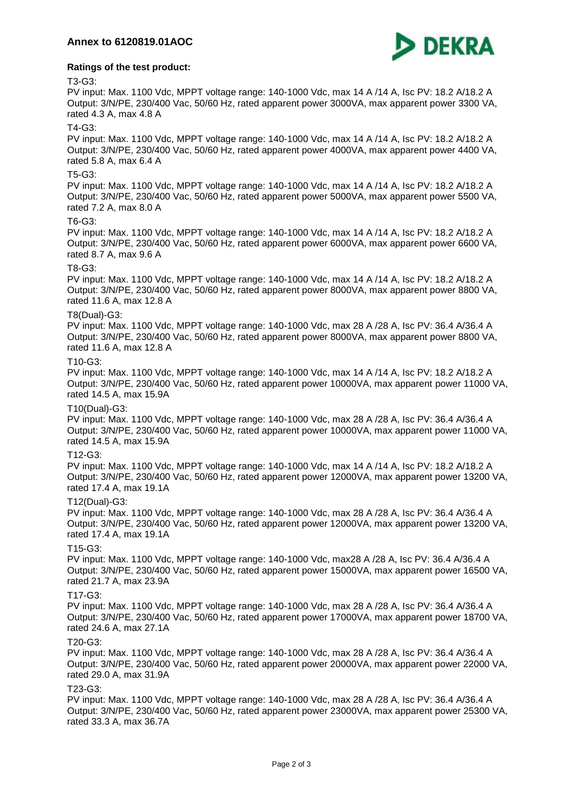

# **Ratings of the test product:**

### T3-G3:

PV input: Max. 1100 Vdc, MPPT voltage range: 140-1000 Vdc, max 14 A /14 A, Isc PV: 18.2 A/18.2 A Output: 3/N/PE, 230/400 Vac, 50/60 Hz, rated apparent power 3000VA, max apparent power 3300 VA, rated 4.3 A, max 4.8 A

## T4-G3:

PV input: Max. 1100 Vdc, MPPT voltage range: 140-1000 Vdc, max 14 A /14 A, Isc PV: 18.2 A/18.2 A Output: 3/N/PE, 230/400 Vac, 50/60 Hz, rated apparent power 4000VA, max apparent power 4400 VA, rated 5.8 A, max 6.4 A

# T5-G3:

PV input: Max. 1100 Vdc, MPPT voltage range: 140-1000 Vdc, max 14 A /14 A, Isc PV: 18.2 A/18.2 A Output: 3/N/PE, 230/400 Vac, 50/60 Hz, rated apparent power 5000VA, max apparent power 5500 VA, rated 7.2 A, max 8.0 A

#### T6-G3:

PV input: Max. 1100 Vdc, MPPT voltage range: 140-1000 Vdc, max 14 A /14 A, Isc PV: 18.2 A/18.2 A Output: 3/N/PE, 230/400 Vac, 50/60 Hz, rated apparent power 6000VA, max apparent power 6600 VA, rated 8.7 A, max 9.6 A

# T8-G3:

PV input: Max. 1100 Vdc, MPPT voltage range: 140-1000 Vdc, max 14 A /14 A, Isc PV: 18.2 A/18.2 A Output: 3/N/PE, 230/400 Vac, 50/60 Hz, rated apparent power 8000VA, max apparent power 8800 VA, rated 11.6 A, max 12.8 A

#### T8(Dual)-G3:

PV input: Max. 1100 Vdc, MPPT voltage range: 140-1000 Vdc, max 28 A /28 A, Isc PV: 36.4 A/36.4 A Output: 3/N/PE, 230/400 Vac, 50/60 Hz, rated apparent power 8000VA, max apparent power 8800 VA, rated 11.6 A, max 12.8 A

#### T10-G3:

PV input: Max. 1100 Vdc, MPPT voltage range: 140-1000 Vdc, max 14 A /14 A, Isc PV: 18.2 A/18.2 A Output: 3/N/PE, 230/400 Vac, 50/60 Hz, rated apparent power 10000VA, max apparent power 11000 VA, rated 14.5 A, max 15.9A

#### T10(Dual)-G3:

PV input: Max. 1100 Vdc, MPPT voltage range: 140-1000 Vdc, max 28 A /28 A, Isc PV: 36.4 A/36.4 A Output: 3/N/PE, 230/400 Vac, 50/60 Hz, rated apparent power 10000VA, max apparent power 11000 VA, rated 14.5 A, max 15.9A

#### T12-G3:

PV input: Max. 1100 Vdc, MPPT voltage range: 140-1000 Vdc, max 14 A /14 A, Isc PV: 18.2 A/18.2 A Output: 3/N/PE, 230/400 Vac, 50/60 Hz, rated apparent power 12000VA, max apparent power 13200 VA, rated 17.4 A, max 19.1A

#### T12(Dual)-G3:

PV input: Max. 1100 Vdc, MPPT voltage range: 140-1000 Vdc, max 28 A /28 A, Isc PV: 36.4 A/36.4 A Output: 3/N/PE, 230/400 Vac, 50/60 Hz, rated apparent power 12000VA, max apparent power 13200 VA, rated 17.4 A, max 19.1A

#### T15-G3:

PV input: Max. 1100 Vdc, MPPT voltage range: 140-1000 Vdc, max28 A /28 A, Isc PV: 36.4 A/36.4 A Output: 3/N/PE, 230/400 Vac, 50/60 Hz, rated apparent power 15000VA, max apparent power 16500 VA, rated 21.7 A, max 23.9A

#### T17-G3:

PV input: Max. 1100 Vdc, MPPT voltage range: 140-1000 Vdc, max 28 A /28 A, Isc PV: 36.4 A/36.4 A Output: 3/N/PE, 230/400 Vac, 50/60 Hz, rated apparent power 17000VA, max apparent power 18700 VA, rated 24.6 A, max 27.1A

#### T20-G3:

PV input: Max. 1100 Vdc, MPPT voltage range: 140-1000 Vdc, max 28 A /28 A, Isc PV: 36.4 A/36.4 A Output: 3/N/PE, 230/400 Vac, 50/60 Hz, rated apparent power 20000VA, max apparent power 22000 VA, rated 29.0 A, max 31.9A

#### T23-G3:

PV input: Max. 1100 Vdc, MPPT voltage range: 140-1000 Vdc, max 28 A /28 A, Isc PV: 36.4 A/36.4 A Output: 3/N/PE, 230/400 Vac, 50/60 Hz, rated apparent power 23000VA, max apparent power 25300 VA, rated 33.3 A, max 36.7A